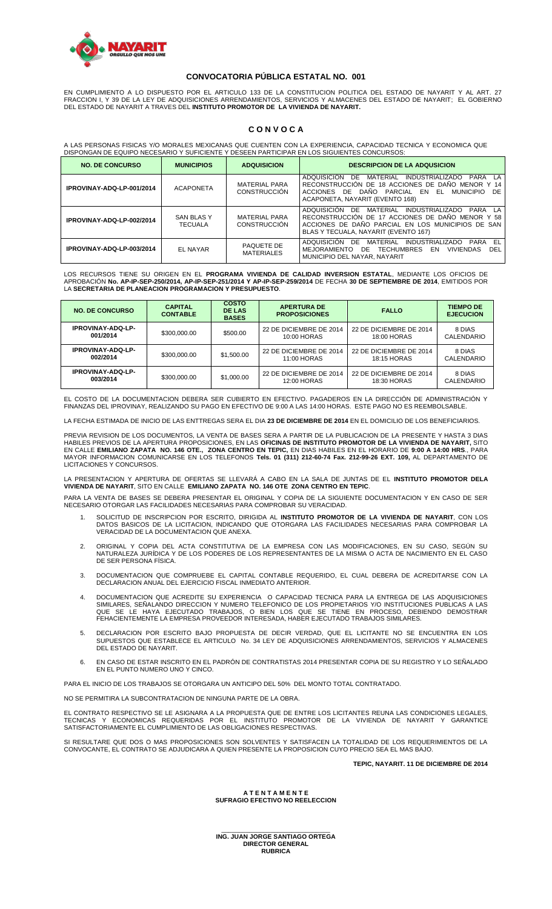

## **CONVOCATORIA PÚBLICA ESTATAL NO. 001**

EN CUMPLIMIENTO A LO DISPUESTO POR EL ARTICULO 133 DE LA CONSTITUCION POLITICA DEL ESTADO DE NAYARIT Y AL ART. 27 FRACCION I, Y 39 DE LA LEY DE ADQUISICIONES ARRENDAMIENTOS, SERVICIOS Y ALMACENES DEL ESTADO DE NAYARIT; EL GOBIERNO<br>DEL ESTADO DE NAYARIT A TRAVES DEL **INSTITUTO PROMOTOR DE LA VIVIENDA DE NAYARIT.** 

## **C O N V O C A**

A LAS PERSONAS FISICAS Y/O MORALES MEXICANAS QUE CUENTEN CON LA EXPERIENCIA, CAPACIDAD TECNICA Y ECONOMICA QUE DISPONGAN DE EQUIPO NECESARIO Y SUFICIENTE Y DESEEN PARTICIPAR EN LOS SIGUIENTES CONCURSOS:

| <b>NO. DE CONCURSO</b>    | <b>MUNICIPIOS</b>                   | <b>ADQUISICION</b>                          | <b>DESCRIPCION DE LA ADQUSICION</b>                                                                                                                                                                          |
|---------------------------|-------------------------------------|---------------------------------------------|--------------------------------------------------------------------------------------------------------------------------------------------------------------------------------------------------------------|
| IPROVINAY-ADQ-LP-001/2014 | <b>ACAPONETA</b>                    | <b>MATERIAL PARA</b><br>CONSTRUCCIÓN        | ADQUISICION<br>DE<br>MATERIAL INDUSTRIALIZADO<br>PARA<br><b>IA</b><br>RECONSTRUCCIÓN DE 18 ACCIONES DE DAÑO MENOR Y 14<br>ACCIONES DE DANO PARCIAL EN EL MUNICIPIO<br>DF.<br>ACAPONETA, NAYARIT (EVENTO 168) |
| IPROVINAY-ADQ-LP-002/2014 | <b>SAN BLAS Y</b><br><b>TECUALA</b> | <b>MATERIAL PARA</b><br><b>CONSTRUCCIÓN</b> | ADQUISICIÓN DE MATERIAL INDUSTRIALIZADO<br>PARA LA<br>RECONSTRUCCIÓN DE 17 ACCIONES DE DAÑO MENOR Y 58<br>ACCIONES DE DAÑO PARCIAL EN LOS MUNICIPIOS DE SAN<br>BLAS Y TECUALA, NAYARIT (EVENTO 167)          |
| IPROVINAY-ADQ-LP-003/2014 | EL NAYAR                            | PAQUETE DE<br><b>MATERIALES</b>             | ADQUISICIÓN DE MATERIAL<br>PARA EL<br><b>INDUSTRIALIZADO</b><br>DEL<br>MEJORAMIENTO<br>DE TECHUMBRES<br>EN<br><b>VIVIENDAS</b><br>MUNICIPIO DEL NAYAR, NAYARIT                                               |

LOS RECURSOS TIENE SU ORIGEN EN EL **PROGRAMA VIVIENDA DE CALIDAD INVERSION ESTATAL**, MEDIANTE LOS OFICIOS DE APROBACIÓN **No. AP-IP-SEP-250/2014, AP-IP-SEP-251/2014 Y AP-IP-SEP-259/2014** DE FECHA **30 DE SEPTIEMBRE DE 2014**, EMITIDOS POR LA **SECRETARIA DE PLANEACION PROGRAMACION Y PRESUPUESTO**.

| <b>NO. DE CONCURSO</b>               | <b>CAPITAL</b><br><b>CONTABLE</b> | <b>COSTO</b><br><b>DE LAS</b><br><b>BASES</b> | <b>APERTURA DE</b><br><b>PROPOSICIONES</b> | <b>FALLO</b>                           | <b>TIEMPO DE</b><br><b>EJECUCION</b> |
|--------------------------------------|-----------------------------------|-----------------------------------------------|--------------------------------------------|----------------------------------------|--------------------------------------|
| <b>IPROVINAY-ADQ-LP-</b><br>001/2014 | \$300,000.00                      | \$500.00                                      | 22 DE DICIEMBRE DE 2014<br>10:00 HORAS     | 22 DE DICIEMBRE DE 2014<br>18:00 HORAS | 8 DIAS<br>CALENDARIO                 |
| <b>IPROVINAY-ADQ-LP-</b><br>002/2014 | \$300,000.00                      | \$1,500.00                                    | 22 DE DICIEMBRE DE 2014<br>11:00 HORAS     | 22 DE DICIEMBRE DE 2014<br>18:15 HORAS | 8 DIAS<br>CALENDARIO                 |
| <b>IPROVINAY-ADQ-LP-</b><br>003/2014 | \$300,000.00                      | \$1,000.00                                    | 22 DE DICIEMBRE DE 2014<br>12:00 HORAS     | 22 DE DICIEMBRE DE 2014<br>18:30 HORAS | 8 DIAS<br>CALENDARIO                 |

EL COSTO DE LA DOCUMENTACION DEBERA SER CUBIERTO EN EFECTIVO. PAGADEROS EN LA DIRECCIÓN DE ADMINISTRACIÓN Y FINANZAS DEL IPROVINAY, REALIZANDO SU PAGO EN EFECTIVO DE 9:00 A LAS 14:00 HORAS. ESTE PAGO NO ES REEMBOLSABLE.

LA FECHA ESTIMADA DE INICIO DE LAS ENTTREGAS SERA EL DIA **23 DE DICIEMBRE DE 2014** EN EL DOMICILIO DE LOS BENEFICIARIOS.

PREVIA REVISION DE LOS DOCUMENTOS, LA VENTA DE BASES SERA A PARTIR DE LA PUBLICACION DE LA PRESENTE Y HASTA 3 DIAS<br>HABILES PREVIOS DE LA APERTURA PROPOSICIONES, EN LAS **OFICINAS DE INSTITUTO PROMOTOR DE LA VIVIENDA DE NAYA** EN CALLE **EMILIANO ZAPATA NO. 146 OTE., ZONA CENTRO EN TEPIC,** EN DIAS HABILES EN EL HORARIO DE **9:00 A 14:00 HRS**., PARA MAYOR INFORMACION COMUNICARSE EN LOS TELEFONOS **Tels. 01 (311) 212-60-74 Fax. 212-99-26 EXT. 109,** AL DEPARTAMENTO DE LICITACIONES Y CONCURSOS.

LA PRESENTACION Y APERTURA DE OFERTAS SE LLEVARÁ A CABO EN LA SALA DE JUNTAS DE EL **INSTITUTO PROMOTOR DELA VIVIENDA DE NAYARIT**, SITO EN CALLE **EMILIANO ZAPATA NO. 146 OTE ZONA CENTRO EN TEPIC**.

PARA LA VENTA DE BASES SE DEBERA PRESENTAR EL ORIGINAL Y COPIA DE LA SIGUIENTE DOCUMENTACION Y EN CASO DE SER NECESARIO OTORGAR LAS FACILIDADES NECESARIAS PARA COMPROBAR SU VERACIDAD.

- 1. SOLICITUD DE INSCRIPCION POR ESCRITO, DIRIGIDA AL **INSTITUTO PROMOTOR DE LA VIVIENDA DE NAYARIT**, CON LOS DATOS BASICOS DE LA LICITACION, INDICANDO QUE OTORGARA LAS FACILIDADES NECESARIAS PARA COMPROBAR LA VERACIDAD DE LA DOCUMENTACION QUE ANEXA.
- 2. ORIGINAL Y COPIA DEL ACTA CONSTITUTIVA DE LA EMPRESA CON LAS MODIFICACIONES, EN SU CASO, SEGÚN SU NATURALEZA JURÍDICA Y DE LOS PODERES DE LOS REPRESENTANTES DE LA MISMA O ACTA DE NACIMIENTO EN EL CASO DE SER PERSONA FÍSICA.
- 3. DOCUMENTACION QUE COMPRUEBE EL CAPITAL CONTABLE REQUERIDO, EL CUAL DEBERA DE ACREDITARSE CON LA DECLARACION ANUAL DEL EJERCICIO FISCAL INMEDIATO ANTERIOR.
- 4. DOCUMENTACION QUE ACREDITE SU EXPERIENCIA O CAPACIDAD TECNICA PARA LA ENTREGA DE LAS ADQUISICIONES SIMILARES, SEÑALANDO DIRECCION Y NUMERO TELEFONICO DE LOS PROPIETARIOS Y/O INSTITUCIONES PUBLICAS A LAS QUE SE LE HAYA EJECUTADO TRABAJOS, O BIEN LOS QUE SE TIENE EN PROCESO, DEBIENDO DEMOSTRAR FEHACIENTEMENTE LA EMPRESA PROVEEDOR INTERESADA, HABER EJECUTADO TRABAJOS SIMILARES.
- 5. DECLARACION POR ESCRITO BAJO PROPUESTA DE DECIR VERDAD, QUE EL LICITANTE NO SE ENCUENTRA EN LOS SUPUESTOS QUE ESTABLECE EL ARTICULO No. 34 LEY DE ADQUISICIONES ARRENDAMIENTOS, SERVICIOS Y ALMACENES DEL ESTADO DE NAYARIT.
- 6. EN CASO DE ESTAR INSCRITO EN EL PADRÓN DE CONTRATISTAS 2014 PRESENTAR COPIA DE SU REGISTRO Y LO SEÑALADO EN EL PUNTO NUMERO UNO Y CINCO.

PARA EL INICIO DE LOS TRABAJOS SE OTORGARA UN ANTICIPO DEL 50% DEL MONTO TOTAL CONTRATADO.

NO SE PERMITIRA LA SUBCONTRATACION DE NINGUNA PARTE DE LA OBRA.

EL CONTRATO RESPECTIVO SE LE ASIGNARA A LA PROPUESTA QUE DE ENTRE LOS LICITANTES REUNA LAS CONDICIONES LEGALES, TECNICAS Y ECONOMICAS REQUERIDAS POR EL INSTITUTO PROMOTOR DE LA VIVIENDA DE NAYARIT Y GARANTICE SATISFACTORIAMENTE EL CUMPLIMIENTO DE LAS OBLIGACIONES RESPECTIVAS.

SI RESULTARE QUE DOS O MAS PROPOSICIONES SON SOLVENTES Y SATISFACEN LA TOTALIDAD DE LOS REQUERIMIENTOS DE LA CONVOCANTE, EL CONTRATO SE ADJUDICARA A QUIEN PRESENTE LA PROPOSICION CUYO PRECIO SEA EL MAS BAJO.

**TEPIC, NAYARIT. 11 DE DICIEMBRE DE 2014**

#### **A T E N T A M E N T E SUFRAGIO EFECTIVO NO REELECCION**

\_\_\_\_\_\_\_\_\_\_\_\_\_\_\_\_\_\_\_\_\_\_\_\_\_\_\_\_\_\_\_ **ING. JUAN JORGE SANTIAGO ORTEGA DIRECTOR GENERAL RUBRICA**